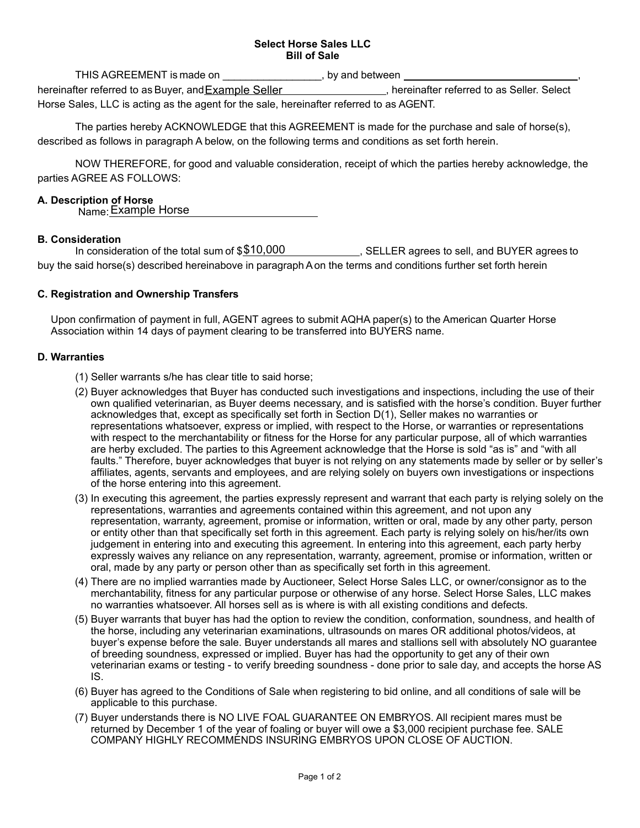#### **Select Horse Sales LLC Bill of Sale**

THIS AGREEMENT is made on  $\qquad \qquad$ , by and between  $\qquad \qquad$ hereinafter referred to as Buyer, and Example Seller **Example Seller Mannet Conceller**, hereinafter referred to as Seller. Select Horse Sales, LLC is acting as the agent for the sale, hereinafter referred to as AGENT.

The parties hereby ACKNOWLEDGE that this AGREEMENT is made for the purchase and sale of horse(s), described as follows in paragraph A below, on the following terms and conditions as set forth herein.

NOW THEREFORE, for good and valuable consideration, receipt of which the parties hereby acknowledge, the parties AGREE AS FOLLOWS:

#### **A. Description of Horse**

Name: Example Horse

#### **B. Consideration**

In consideration of the total sum of  $$10,000$  , SELLER agrees to sell, and BUYER agrees to buy the said horse(s) described hereinabove in paragraph A on the terms and conditions further set forth herein

## **C. Registration and Ownership Transfers**

Upon confirmation of payment in full, AGENT agrees to submit AQHA paper(s) to the American Quarter Horse Association within 14 days of payment clearing to be transferred into BUYERS name.

#### **D. Warranties**

- (1) Seller warrants s/he has clear title to said horse;
- (2) Buyer acknowledges that Buyer has conducted such investigations and inspections, including the use of their own qualified veterinarian, as Buyer deems necessary, and is satisfied with the horse's condition. Buyer further acknowledges that, except as specifically set forth in Section D(1), Seller makes no warranties or representations whatsoever, express or implied, with respect to the Horse, or warranties or representations with respect to the merchantability or fitness for the Horse for any particular purpose, all of which warranties are herby excluded. The parties to this Agreement acknowledge that the Horse is sold "as is" and "with all faults." Therefore, buyer acknowledges that buyer is not relying on any statements made by seller or by seller's affiliates, agents, servants and employees, and are relying solely on buyers own investigations or inspections of the horse entering into this agreement.
- (3) In executing this agreement, the parties expressly represent and warrant that each party is relying solely on the representations, warranties and agreements contained within this agreement, and not upon any representation, warranty, agreement, promise or information, written or oral, made by any other party, person or entity other than that specifically set forth in this agreement. Each party is relying solely on his/her/its own judgement in entering into and executing this agreement. In entering into this agreement, each party herby expressly waives any reliance on any representation, warranty, agreement, promise or information, written or oral, made by any party or person other than as specifically set forth in this agreement.
- (4) There are no implied warranties made by Auctioneer, Select Horse Sales LLC, or owner/consignor as to the merchantability, fitness for any particular purpose or otherwise of any horse. Select Horse Sales, LLC makes no warranties whatsoever. All horses sell as is where is with all existing conditions and defects.
- (5) Buyer warrants that buyer has had the option to review the condition, conformation, soundness, and health of the horse, including any veterinarian examinations, ultrasounds on mares OR additional photos/videos, at buyer's expense before the sale. Buyer understands all mares and stallions sell with absolutely NO guarantee of breeding soundness, expressed or implied. Buyer has had the opportunity to get any of their own veterinarian exams or testing - to verify breeding soundness - done prior to sale day, and accepts the horse AS IS.
- (6) Buyer has agreed to the Conditions of Sale when registering to bid online, and all conditions of sale will be applicable to this purchase.
- (7) Buyer understands there is NO LIVE FOAL GUARANTEE ON EMBRYOS. All recipient mares must be returned by December 1 of the year of foaling or buyer will owe a \$3,000 recipient purchase fee. SALE COMPANY HIGHLY RECOMMENDS INSURING EMBRYOS UPON CLOSE OF AUCTION.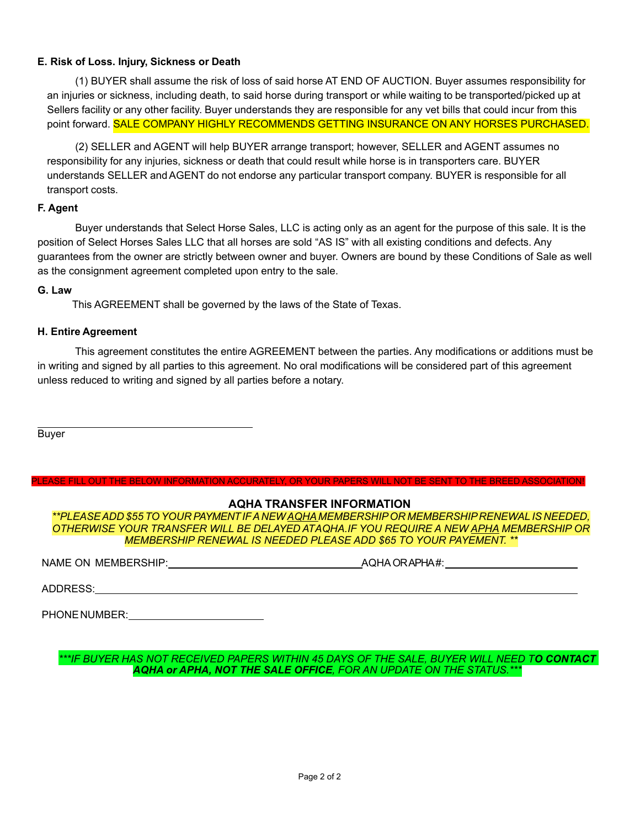## **E. Risk of Loss. Injury, Sickness or Death**

(1) BUYER shall assume the risk of loss of said horse AT END OF AUCTION. Buyer assumes responsibility for an injuries or sickness, including death, to said horse during transport or while waiting to be transported/picked up at Sellers facility or any other facility. Buyer understands they are responsible for any vet bills that could incur from this point forward. **SALE COMPANY HIGHLY RECOMMENDS GETTING INSURANCE ON ANY HORSES PURCHASED.** 

(2) SELLER and AGENT will help BUYER arrange transport; however, SELLER and AGENT assumes no responsibility for any injuries, sickness or death that could result while horse is in transporters care. BUYER understands SELLER and AGENT do not endorse any particular transport company. BUYER is responsible for all transport costs.

## **F. Agent**

Buyer understands that Select Horse Sales, LLC is acting only as an agent for the purpose of this sale. It is the position of Select Horses Sales LLC that all horses are sold "AS IS" with all existing conditions and defects. Any guarantees from the owner are strictly between owner and buyer. Owners are bound by these Conditions of Sale as well as the consignment agreement completed upon entry to the sale.

#### **G. Law**

This AGREEMENT shall be governed by the laws of the State of Texas.

## **H. Entire Agreement**

This agreement constitutes the entire AGREEMENT between the parties. Any modifications or additions must be in writing and signed by all parties to this agreement. No oral modifications will be considered part of this agreement unless reduced to writing and signed by all parties before a notary.

Buyer

# **AQHA TRANSFER INFORMATION**

PLEASE FILL OUT THE BELOW INFORMATION ACCURATELY, OR YOUR PAPERS WILL NOT BE SENT TO THE BREED ASSOCIATION!

*\*\*PLEASE ADD \$55 TO YOUR PAYMENT IF A NEW AQHA MEMBERSHIP OR MEMBERSHIP RENEWAL IS NEEDED, OTHERWISE YOUR TRANSFER WILL BE DELAYED AT AQHA.IF YOU REQUIRE A NEW APHA MEMBERSHIP OR MEMBERSHIP RENEWAL IS NEEDED PLEASE ADD \$65 TO YOUR PAYEMENT. \*\** 

NAME ON MEMBERSHIP: AQHA OR APHA#:

ADDRESS:

| PHONE NUMBER: |  |
|---------------|--|
|               |  |

*\*\*\*IF BUYER HAS NOT RECEIVED PAPERS WITHIN 45 DAYS OF THE SALE, BUYER WILL NEED TO CONTACT AQHA or APHA, NOT THE SALE OFFICE, FOR AN UPDATE ON THE STATUS.\*\*\**